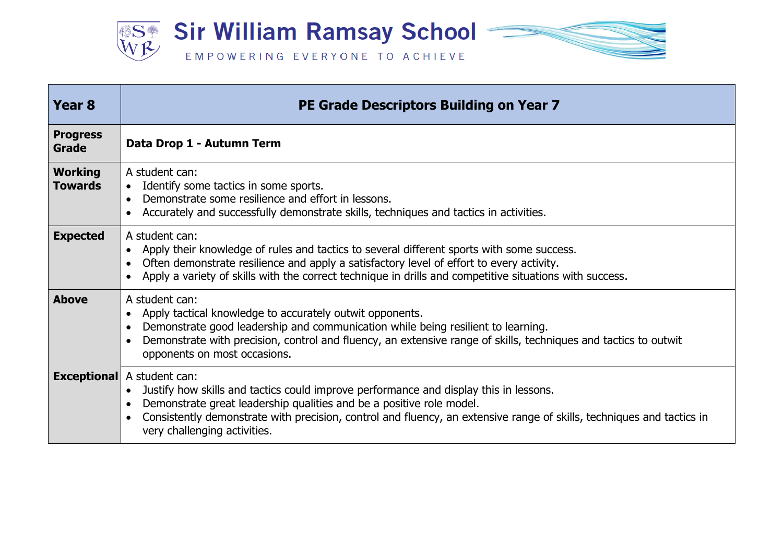

| Year <sub>8</sub>                | PE Grade Descriptors Building on Year 7                                                                                                                                                                                                                                                                                                                     |
|----------------------------------|-------------------------------------------------------------------------------------------------------------------------------------------------------------------------------------------------------------------------------------------------------------------------------------------------------------------------------------------------------------|
| <b>Progress</b><br>Grade         | Data Drop 1 - Autumn Term                                                                                                                                                                                                                                                                                                                                   |
| <b>Working</b><br><b>Towards</b> | A student can:<br>Identify some tactics in some sports.<br>$\bullet$<br>Demonstrate some resilience and effort in lessons.<br>$\bullet$<br>Accurately and successfully demonstrate skills, techniques and tactics in activities.                                                                                                                            |
| <b>Expected</b>                  | A student can:<br>Apply their knowledge of rules and tactics to several different sports with some success.<br>Often demonstrate resilience and apply a satisfactory level of effort to every activity.<br>Apply a variety of skills with the correct technique in drills and competitive situations with success.                                          |
| <b>Above</b>                     | A student can:<br>Apply tactical knowledge to accurately outwit opponents.<br>Demonstrate good leadership and communication while being resilient to learning.<br>Demonstrate with precision, control and fluency, an extensive range of skills, techniques and tactics to outwit<br>opponents on most occasions.                                           |
|                                  | <b>Exceptional</b> A student can:<br>Justify how skills and tactics could improve performance and display this in lessons.<br>Demonstrate great leadership qualities and be a positive role model.<br>Consistently demonstrate with precision, control and fluency, an extensive range of skills, techniques and tactics in<br>very challenging activities. |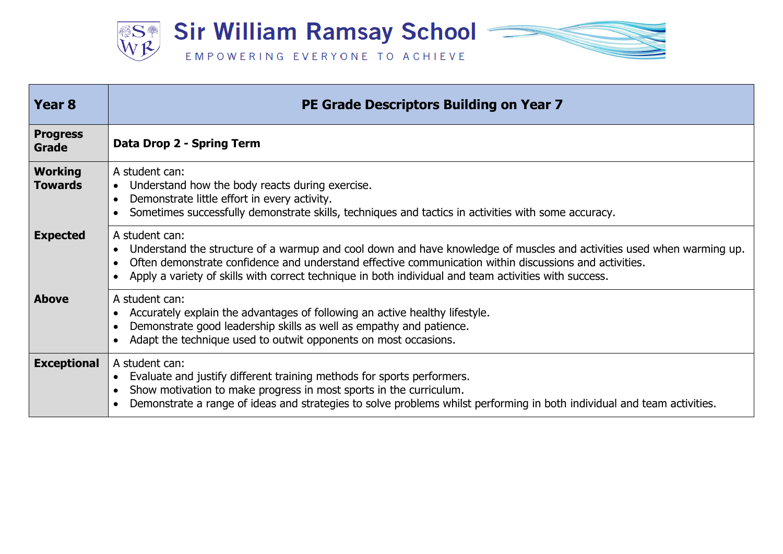

| Year <sub>8</sub>                | PE Grade Descriptors Building on Year 7                                                                                                                                                                                                                                                                                                                    |
|----------------------------------|------------------------------------------------------------------------------------------------------------------------------------------------------------------------------------------------------------------------------------------------------------------------------------------------------------------------------------------------------------|
| <b>Progress</b><br>Grade         | Data Drop 2 - Spring Term                                                                                                                                                                                                                                                                                                                                  |
| <b>Working</b><br><b>Towards</b> | A student can:<br>Understand how the body reacts during exercise.<br>$\bullet$<br>Demonstrate little effort in every activity.<br>Sometimes successfully demonstrate skills, techniques and tactics in activities with some accuracy.                                                                                                                      |
| <b>Expected</b>                  | A student can:<br>Understand the structure of a warmup and cool down and have knowledge of muscles and activities used when warming up.<br>Often demonstrate confidence and understand effective communication within discussions and activities.<br>Apply a variety of skills with correct technique in both individual and team activities with success. |
| <b>Above</b>                     | A student can:<br>Accurately explain the advantages of following an active healthy lifestyle.<br>Demonstrate good leadership skills as well as empathy and patience.<br>Adapt the technique used to outwit opponents on most occasions.                                                                                                                    |
| <b>Exceptional</b>               | A student can:<br>Evaluate and justify different training methods for sports performers.<br>Show motivation to make progress in most sports in the curriculum.<br>Demonstrate a range of ideas and strategies to solve problems whilst performing in both individual and team activities.                                                                  |